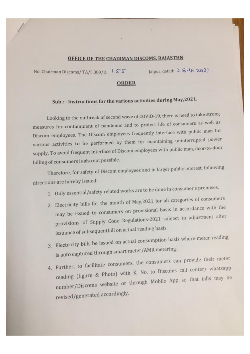## OFFICE OF THE CHAIRMAN DISCOMS, RAJASTHN

No. Chairman Discoms/ TA/F.389/D.  $\sqrt{S}$  Jaipur, dated: 2  $8.4$ , 202]

## **ORDER**

## Sub.: - Instructions for the various activities during May,2021.

Looking to the outbreak of second wave of COVID-19, there is need to take strong measures for containment of pandemic and to protect life of consumers as well as Discom employees. The Discom employees frequently interface with public man for various activities to be performed by them for maintaining uninterrupted power supply. To avoid frequent interface of Discom employees with public man, door-to-door billing of consumers is also not possible.

Therefore, for safety of Discom employees and in larger public interest, following directions are hereby issued:

- 1. Only essential/safety related works are to be done in consumer's premises.
- 2. Electricity bills for the month of May,2021 for all categories of consumers may be issued to consumers on provisional basis in accordance with the provisions of Supply Code Regulations-2021 subject to adjustmen<sup>t</sup> after issuance of subsequentbill on actual reading basis.
- 3. Electricity bills be issued on actual consumption basis where meter reading is auto capture<sup>d</sup> through smart meter/AMR metering,
- 4. Further, to facilitate consumers, the consumers can provide their meter  $\frac{1}{\pi}$  reading (figure & Photo) with K. No. to Discoms call center/ whatsapp number/Discoms website or through Mobile App so that bills may be revised/generate<sup>d</sup> accordingly.